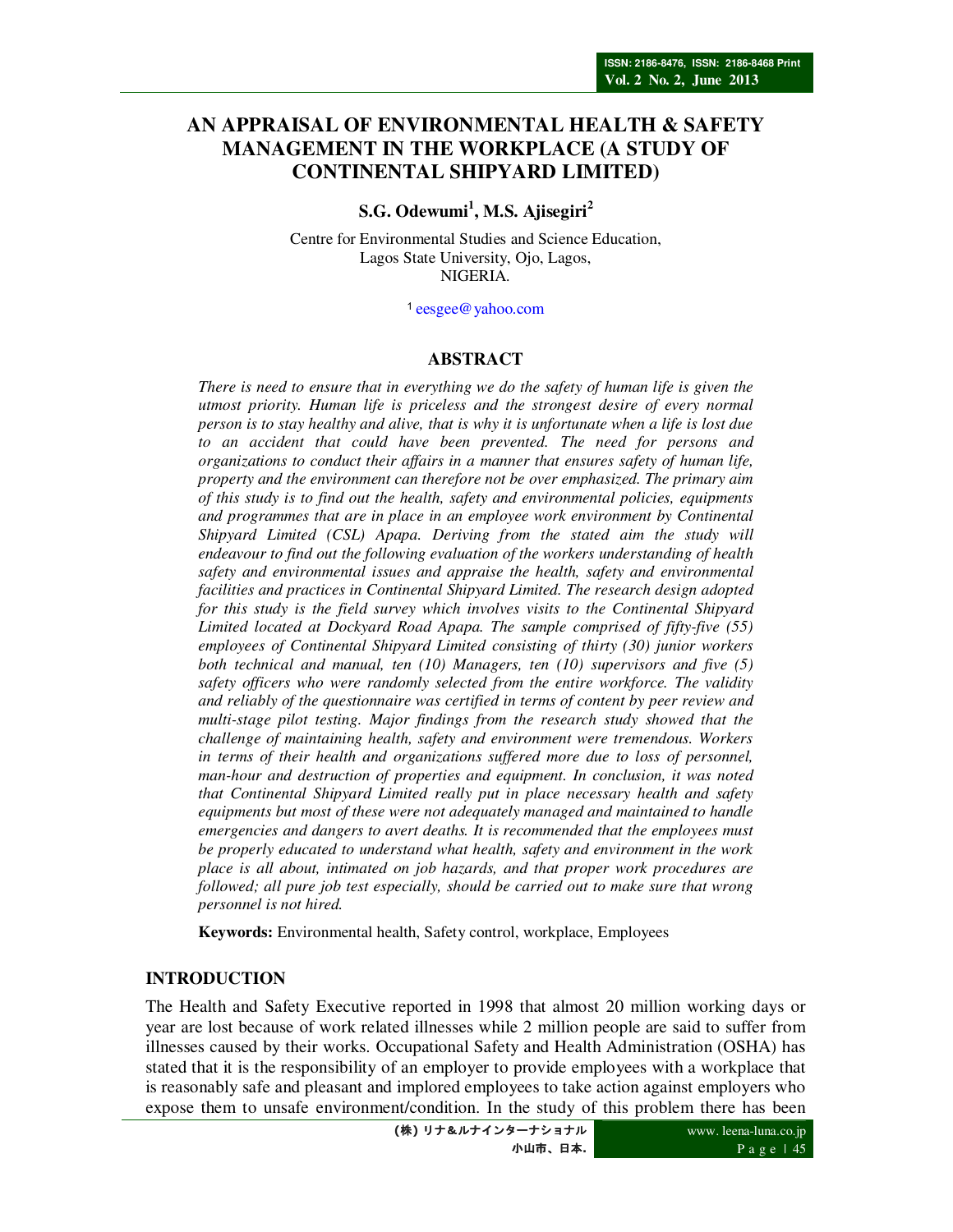# **AN APPRAISAL OF ENVIRONMENTAL HEALTH & SAFETY MANAGEMENT IN THE WORKPLACE (A STUDY OF CONTINENTAL SHIPYARD LIMITED)**

**S.G. Odewumi<sup>1</sup> , M.S. Ajisegiri<sup>2</sup>**

Centre for Environmental Studies and Science Education, Lagos State University, Ojo, Lagos, NIGERIA.

<sup>1</sup>eesgee@yahoo.com

## **ABSTRACT**

*There is need to ensure that in everything we do the safety of human life is given the utmost priority. Human life is priceless and the strongest desire of every normal person is to stay healthy and alive, that is why it is unfortunate when a life is lost due to an accident that could have been prevented. The need for persons and organizations to conduct their affairs in a manner that ensures safety of human life, property and the environment can therefore not be over emphasized. The primary aim of this study is to find out the health, safety and environmental policies, equipments and programmes that are in place in an employee work environment by Continental Shipyard Limited (CSL) Apapa. Deriving from the stated aim the study will endeavour to find out the following evaluation of the workers understanding of health safety and environmental issues and appraise the health, safety and environmental facilities and practices in Continental Shipyard Limited. The research design adopted for this study is the field survey which involves visits to the Continental Shipyard Limited located at Dockyard Road Apapa. The sample comprised of fifty-five (55) employees of Continental Shipyard Limited consisting of thirty (30) junior workers both technical and manual, ten (10) Managers, ten (10) supervisors and five (5) safety officers who were randomly selected from the entire workforce. The validity and reliably of the questionnaire was certified in terms of content by peer review and multi-stage pilot testing. Major findings from the research study showed that the challenge of maintaining health, safety and environment were tremendous. Workers in terms of their health and organizations suffered more due to loss of personnel, man-hour and destruction of properties and equipment. In conclusion, it was noted that Continental Shipyard Limited really put in place necessary health and safety equipments but most of these were not adequately managed and maintained to handle emergencies and dangers to avert deaths. It is recommended that the employees must be properly educated to understand what health, safety and environment in the work place is all about, intimated on job hazards, and that proper work procedures are followed; all pure job test especially, should be carried out to make sure that wrong personnel is not hired.* 

**Keywords:** Environmental health, Safety control, workplace, Employees

### **INTRODUCTION**

The Health and Safety Executive reported in 1998 that almost 20 million working days or year are lost because of work related illnesses while 2 million people are said to suffer from illnesses caused by their works. Occupational Safety and Health Administration (OSHA) has stated that it is the responsibility of an employer to provide employees with a workplace that is reasonably safe and pleasant and implored employees to take action against employers who expose them to unsafe environment/condition. In the study of this problem there has been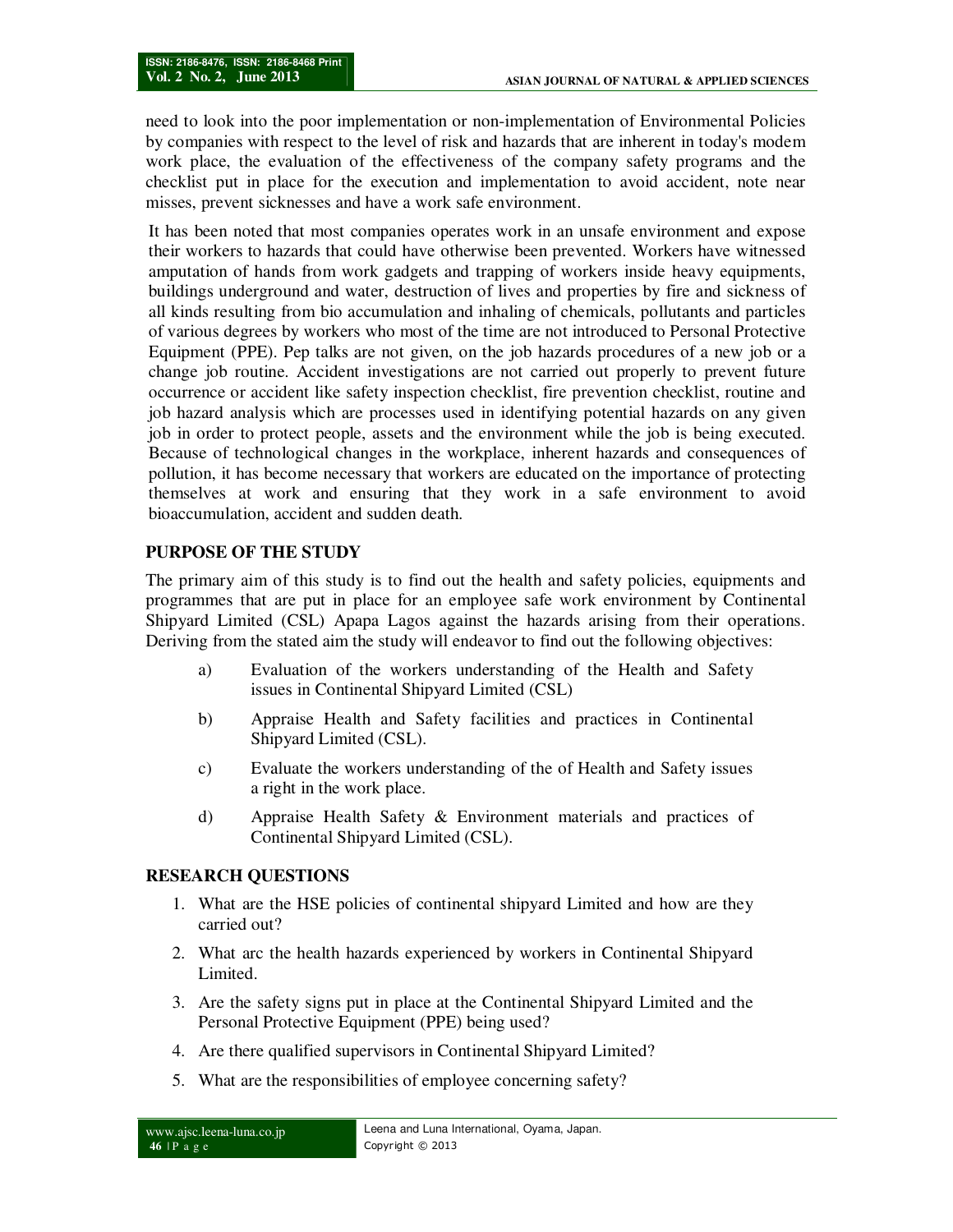need to look into the poor implementation or non-implementation of Environmental Policies by companies with respect to the level of risk and hazards that are inherent in today's modem work place, the evaluation of the effectiveness of the company safety programs and the checklist put in place for the execution and implementation to avoid accident, note near misses, prevent sicknesses and have a work safe environment.

It has been noted that most companies operates work in an unsafe environment and expose their workers to hazards that could have otherwise been prevented. Workers have witnessed amputation of hands from work gadgets and trapping of workers inside heavy equipments, buildings underground and water, destruction of lives and properties by fire and sickness of all kinds resulting from bio accumulation and inhaling of chemicals, pollutants and particles of various degrees by workers who most of the time are not introduced to Personal Protective Equipment (PPE). Pep talks are not given, on the job hazards procedures of a new job or a change job routine. Accident investigations are not carried out properly to prevent future occurrence or accident like safety inspection checklist, fire prevention checklist, routine and job hazard analysis which are processes used in identifying potential hazards on any given job in order to protect people, assets and the environment while the job is being executed. Because of technological changes in the workplace, inherent hazards and consequences of pollution, it has become necessary that workers are educated on the importance of protecting themselves at work and ensuring that they work in a safe environment to avoid bioaccumulation, accident and sudden death.

## **PURPOSE OF THE STUDY**

The primary aim of this study is to find out the health and safety policies, equipments and programmes that are put in place for an employee safe work environment by Continental Shipyard Limited (CSL) Apapa Lagos against the hazards arising from their operations. Deriving from the stated aim the study will endeavor to find out the following objectives:

- a) Evaluation of the workers understanding of the Health and Safety issues in Continental Shipyard Limited (CSL)
- b) Appraise Health and Safety facilities and practices in Continental Shipyard Limited (CSL).
- c) Evaluate the workers understanding of the of Health and Safety issues a right in the work place.
- d) Appraise Health Safety & Environment materials and practices of Continental Shipyard Limited (CSL).

## **RESEARCH QUESTIONS**

- 1. What are the HSE policies of continental shipyard Limited and how are they carried out?
- 2. What arc the health hazards experienced by workers in Continental Shipyard Limited.
- 3. Are the safety signs put in place at the Continental Shipyard Limited and the Personal Protective Equipment (PPE) being used?
- 4. Are there qualified supervisors in Continental Shipyard Limited?
- 5. What are the responsibilities of employee concerning safety?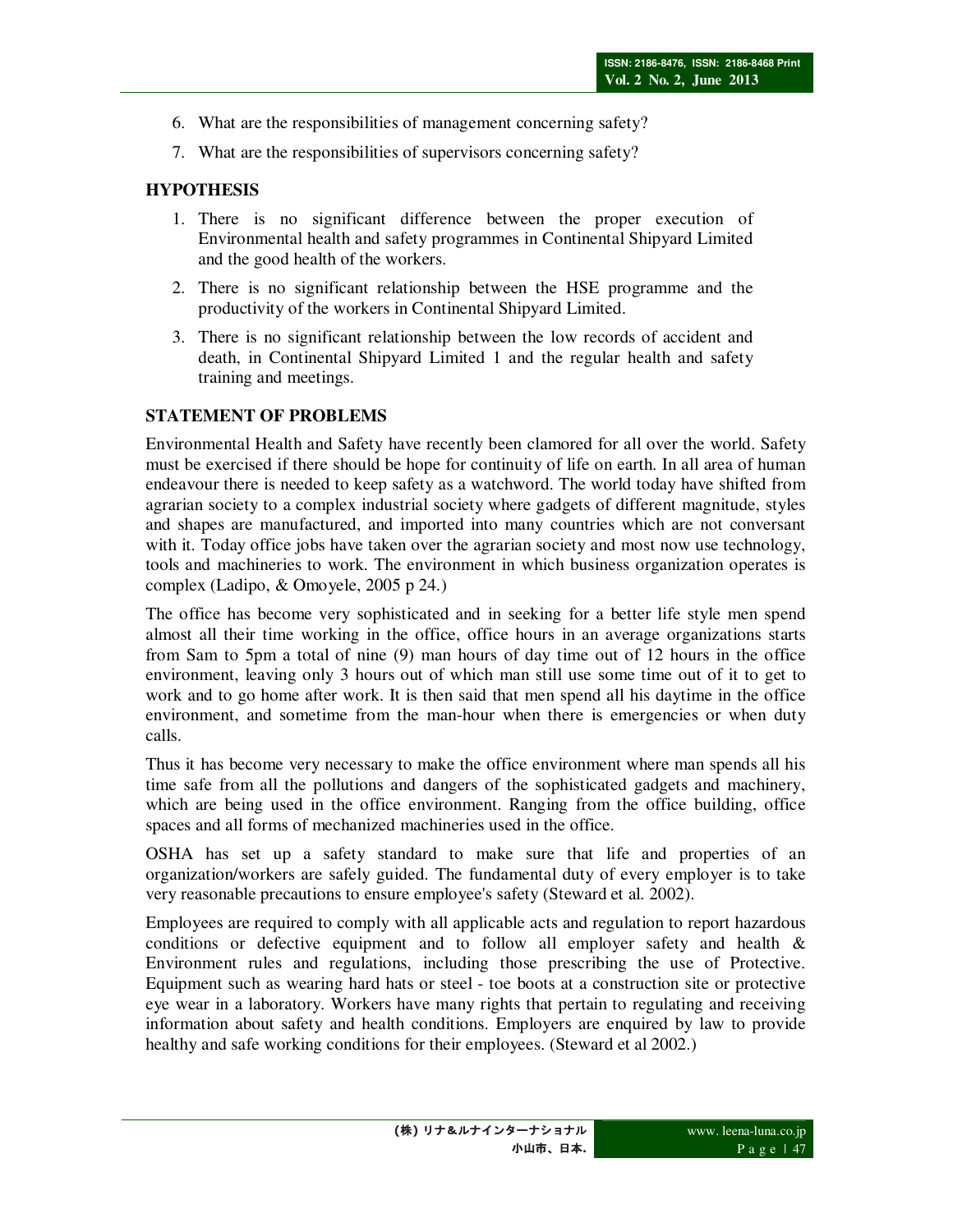- 6. What are the responsibilities of management concerning safety?
- 7. What are the responsibilities of supervisors concerning safety?

## **HYPOTHESIS**

- 1. There is no significant difference between the proper execution of Environmental health and safety programmes in Continental Shipyard Limited and the good health of the workers.
- 2. There is no significant relationship between the HSE programme and the productivity of the workers in Continental Shipyard Limited.
- 3. There is no significant relationship between the low records of accident and death, in Continental Shipyard Limited 1 and the regular health and safety training and meetings.

## **STATEMENT OF PROBLEMS**

Environmental Health and Safety have recently been clamored for all over the world. Safety must be exercised if there should be hope for continuity of life on earth. In all area of human endeavour there is needed to keep safety as a watchword. The world today have shifted from agrarian society to a complex industrial society where gadgets of different magnitude, styles and shapes are manufactured, and imported into many countries which are not conversant with it. Today office jobs have taken over the agrarian society and most now use technology, tools and machineries to work. The environment in which business organization operates is complex (Ladipo, & Omoyele, 2005 p 24.)

The office has become very sophisticated and in seeking for a better life style men spend almost all their time working in the office, office hours in an average organizations starts from Sam to 5pm a total of nine (9) man hours of day time out of 12 hours in the office environment, leaving only 3 hours out of which man still use some time out of it to get to work and to go home after work. It is then said that men spend all his daytime in the office environment, and sometime from the man-hour when there is emergencies or when duty calls.

Thus it has become very necessary to make the office environment where man spends all his time safe from all the pollutions and dangers of the sophisticated gadgets and machinery, which are being used in the office environment. Ranging from the office building, office spaces and all forms of mechanized machineries used in the office.

OSHA has set up a safety standard to make sure that life and properties of an organization/workers are safely guided. The fundamental duty of every employer is to take very reasonable precautions to ensure employee's safety (Steward et al. 2002).

Employees are required to comply with all applicable acts and regulation to report hazardous conditions or defective equipment and to follow all employer safety and health & Environment rules and regulations, including those prescribing the use of Protective. Equipment such as wearing hard hats or steel - toe boots at a construction site or protective eye wear in a laboratory. Workers have many rights that pertain to regulating and receiving information about safety and health conditions. Employers are enquired by law to provide healthy and safe working conditions for their employees. (Steward et al 2002.)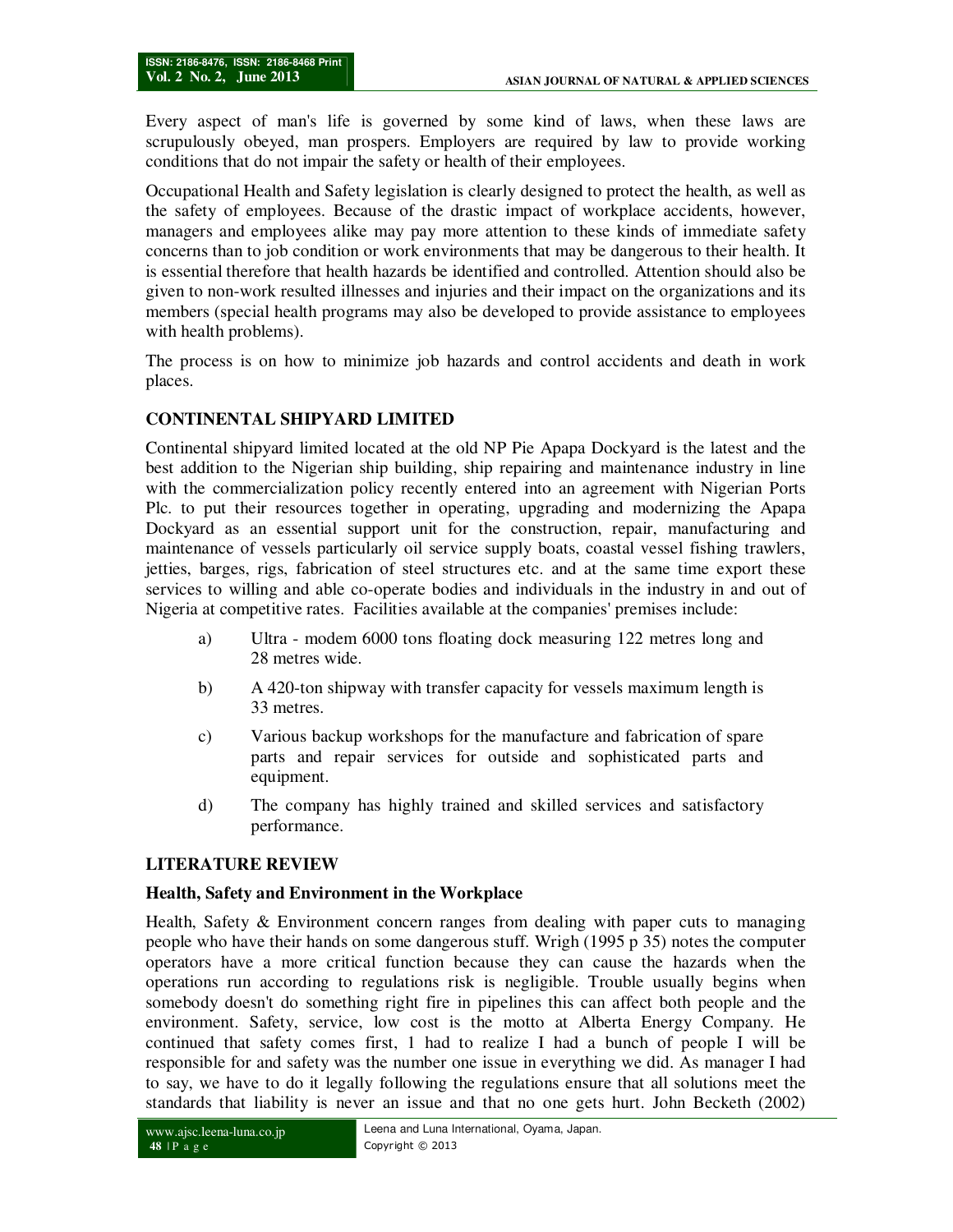Every aspect of man's life is governed by some kind of laws, when these laws are scrupulously obeyed, man prospers. Employers are required by law to provide working conditions that do not impair the safety or health of their employees.

Occupational Health and Safety legislation is clearly designed to protect the health, as well as the safety of employees. Because of the drastic impact of workplace accidents, however, managers and employees alike may pay more attention to these kinds of immediate safety concerns than to job condition or work environments that may be dangerous to their health. It is essential therefore that health hazards be identified and controlled. Attention should also be given to non-work resulted illnesses and injuries and their impact on the organizations and its members (special health programs may also be developed to provide assistance to employees with health problems).

The process is on how to minimize job hazards and control accidents and death in work places.

## **CONTINENTAL SHIPYARD LIMITED**

Continental shipyard limited located at the old NP Pie Apapa Dockyard is the latest and the best addition to the Nigerian ship building, ship repairing and maintenance industry in line with the commercialization policy recently entered into an agreement with Nigerian Ports Plc. to put their resources together in operating, upgrading and modernizing the Apapa Dockyard as an essential support unit for the construction, repair, manufacturing and maintenance of vessels particularly oil service supply boats, coastal vessel fishing trawlers, jetties, barges, rigs, fabrication of steel structures etc. and at the same time export these services to willing and able co-operate bodies and individuals in the industry in and out of Nigeria at competitive rates. Facilities available at the companies' premises include:

- a) Ultra modem 6000 tons floating dock measuring 122 metres long and 28 metres wide.
- b) A 420-ton shipway with transfer capacity for vessels maximum length is 33 metres.
- c) Various backup workshops for the manufacture and fabrication of spare parts and repair services for outside and sophisticated parts and equipment.
- d) The company has highly trained and skilled services and satisfactory performance.

## **LITERATURE REVIEW**

## **Health, Safety and Environment in the Workplace**

Health, Safety & Environment concern ranges from dealing with paper cuts to managing people who have their hands on some dangerous stuff. Wrigh (1995 p 35) notes the computer operators have a more critical function because they can cause the hazards when the operations run according to regulations risk is negligible. Trouble usually begins when somebody doesn't do something right fire in pipelines this can affect both people and the environment. Safety, service, low cost is the motto at Alberta Energy Company. He continued that safety comes first, 1 had to realize I had a bunch of people I will be responsible for and safety was the number one issue in everything we did. As manager I had to say, we have to do it legally following the regulations ensure that all solutions meet the standards that liability is never an issue and that no one gets hurt. John Becketh (2002)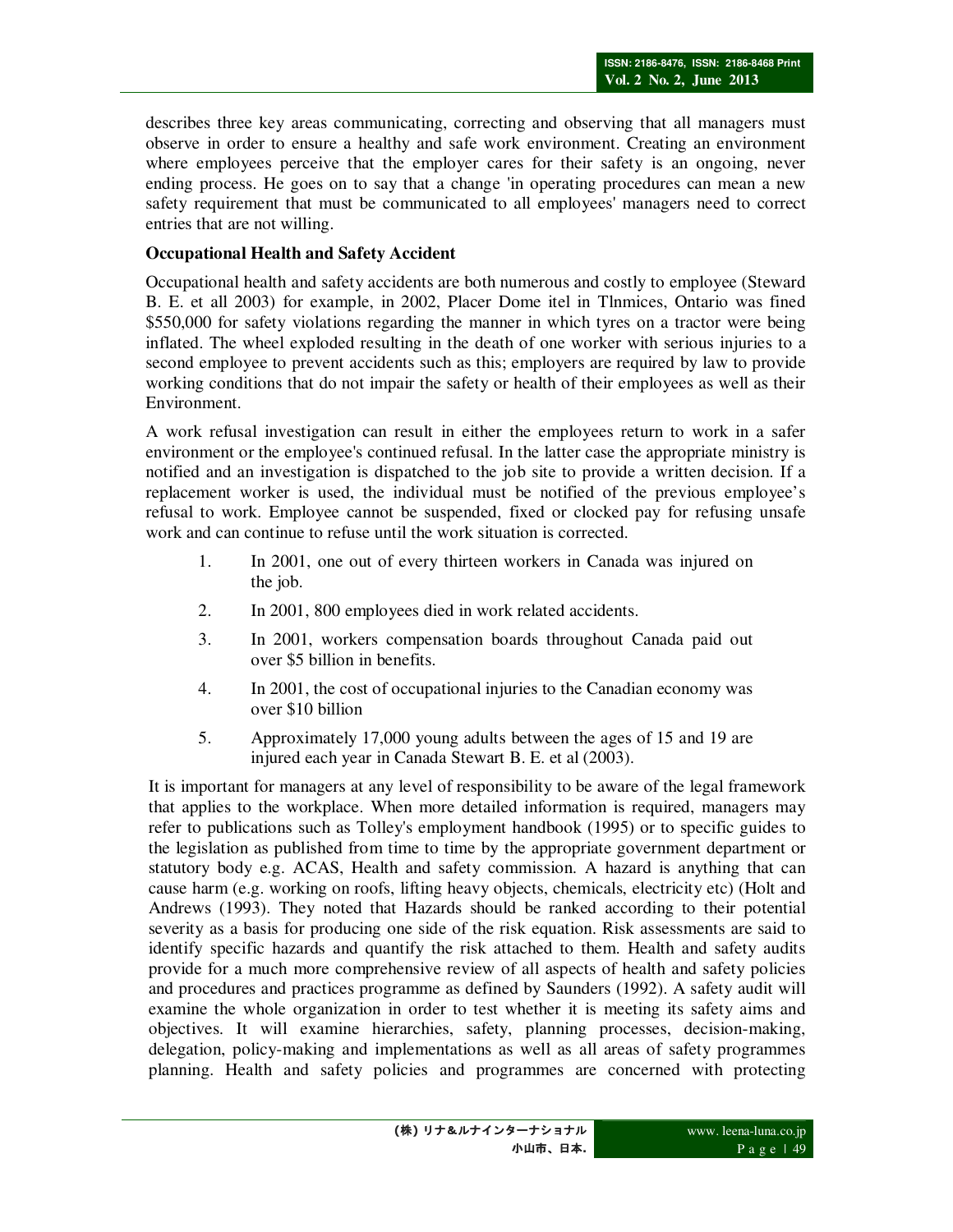describes three key areas communicating, correcting and observing that all managers must observe in order to ensure a healthy and safe work environment. Creating an environment where employees perceive that the employer cares for their safety is an ongoing, never ending process. He goes on to say that a change 'in operating procedures can mean a new safety requirement that must be communicated to all employees' managers need to correct entries that are not willing.

## **Occupational Health and Safety Accident**

Occupational health and safety accidents are both numerous and costly to employee (Steward B. E. et all 2003) for example, in 2002, Placer Dome itel in Tlnmices, Ontario was fined \$550,000 for safety violations regarding the manner in which tyres on a tractor were being inflated. The wheel exploded resulting in the death of one worker with serious injuries to a second employee to prevent accidents such as this; employers are required by law to provide working conditions that do not impair the safety or health of their employees as well as their Environment.

A work refusal investigation can result in either the employees return to work in a safer environment or the employee's continued refusal. In the latter case the appropriate ministry is notified and an investigation is dispatched to the job site to provide a written decision. If a replacement worker is used, the individual must be notified of the previous employee's refusal to work. Employee cannot be suspended, fixed or clocked pay for refusing unsafe work and can continue to refuse until the work situation is corrected.

- 1. In 2001, one out of every thirteen workers in Canada was injured on the job.
- 2. In 2001, 800 employees died in work related accidents.
- 3. In 2001, workers compensation boards throughout Canada paid out over \$5 billion in benefits.
- 4. In 2001, the cost of occupational injuries to the Canadian economy was over \$10 billion
- 5. Approximately 17,000 young adults between the ages of 15 and 19 are injured each year in Canada Stewart B. E. et al (2003).

It is important for managers at any level of responsibility to be aware of the legal framework that applies to the workplace. When more detailed information is required, managers may refer to publications such as Tolley's employment handbook (1995) or to specific guides to the legislation as published from time to time by the appropriate government department or statutory body e.g. ACAS, Health and safety commission. A hazard is anything that can cause harm (e.g. working on roofs, lifting heavy objects, chemicals, electricity etc) (Holt and Andrews (1993). They noted that Hazards should be ranked according to their potential severity as a basis for producing one side of the risk equation. Risk assessments are said to identify specific hazards and quantify the risk attached to them. Health and safety audits provide for a much more comprehensive review of all aspects of health and safety policies and procedures and practices programme as defined by Saunders (1992). A safety audit will examine the whole organization in order to test whether it is meeting its safety aims and objectives. It will examine hierarchies, safety, planning processes, decision-making, delegation, policy-making and implementations as well as all areas of safety programmes planning. Health and safety policies and programmes are concerned with protecting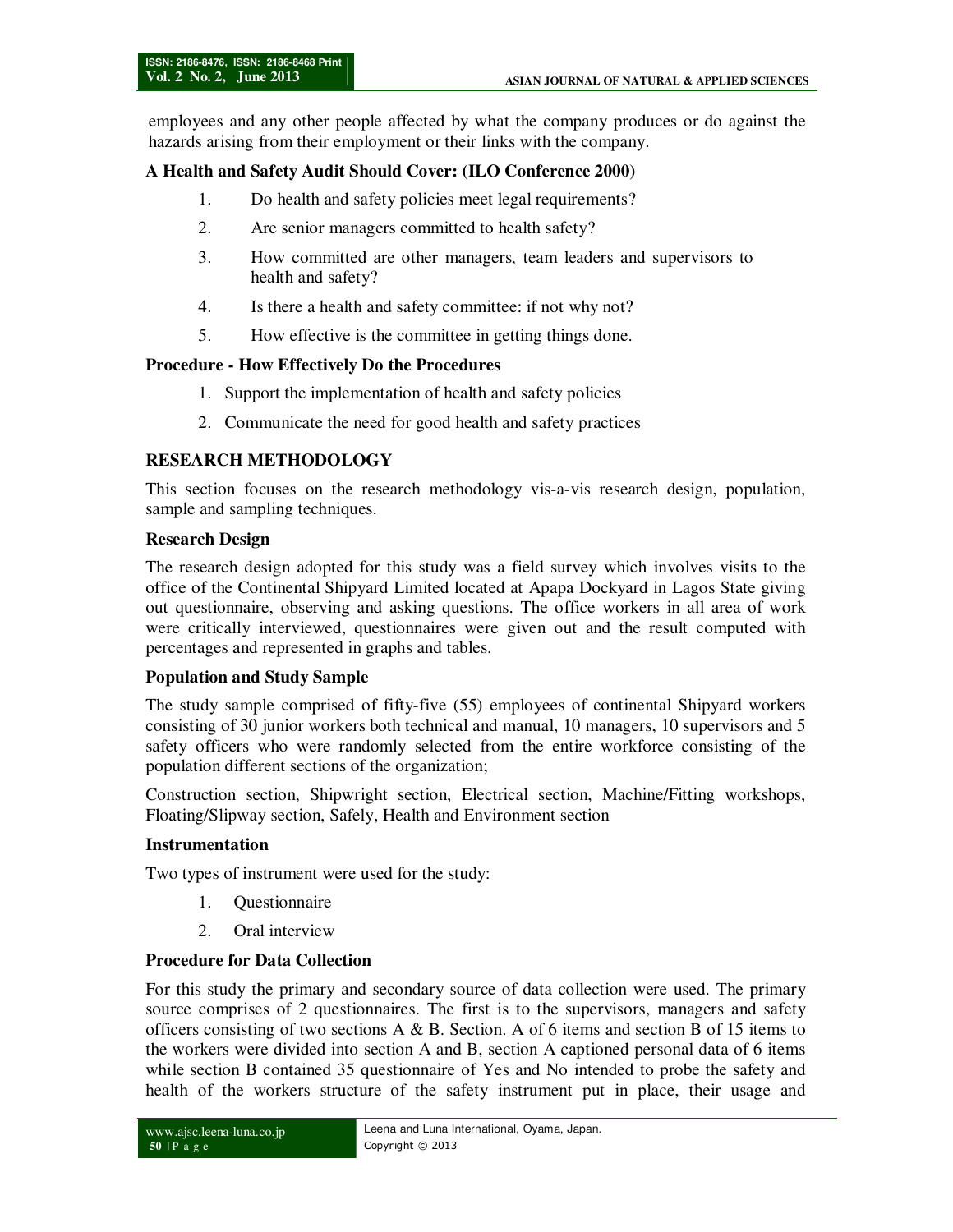employees and any other people affected by what the company produces or do against the hazards arising from their employment or their links with the company.

### **A Health and Safety Audit Should Cover: (ILO Conference 2000)**

- 1. Do health and safety policies meet legal requirements?
- 2. Are senior managers committed to health safety?
- 3. How committed are other managers, team leaders and supervisors to health and safety?
- 4. Is there a health and safety committee: if not why not?
- 5. How effective is the committee in getting things done.

#### **Procedure - How Effectively Do the Procedures**

- 1. Support the implementation of health and safety policies
- 2. Communicate the need for good health and safety practices

### **RESEARCH METHODOLOGY**

This section focuses on the research methodology vis-a-vis research design, population, sample and sampling techniques.

## **Research Design**

The research design adopted for this study was a field survey which involves visits to the office of the Continental Shipyard Limited located at Apapa Dockyard in Lagos State giving out questionnaire, observing and asking questions. The office workers in all area of work were critically interviewed, questionnaires were given out and the result computed with percentages and represented in graphs and tables.

#### **Population and Study Sample**

The study sample comprised of fifty-five (55) employees of continental Shipyard workers consisting of 30 junior workers both technical and manual, 10 managers, 10 supervisors and 5 safety officers who were randomly selected from the entire workforce consisting of the population different sections of the organization;

Construction section, Shipwright section, Electrical section, Machine/Fitting workshops, Floating/Slipway section, Safely, Health and Environment section

#### **Instrumentation**

Two types of instrument were used for the study:

- 1. Questionnaire
- 2. Oral interview

### **Procedure for Data Collection**

For this study the primary and secondary source of data collection were used. The primary source comprises of 2 questionnaires. The first is to the supervisors, managers and safety officers consisting of two sections A & B. Section. A of 6 items and section B of 15 items to the workers were divided into section A and B, section A captioned personal data of 6 items while section B contained 35 questionnaire of Yes and No intended to probe the safety and health of the workers structure of the safety instrument put in place, their usage and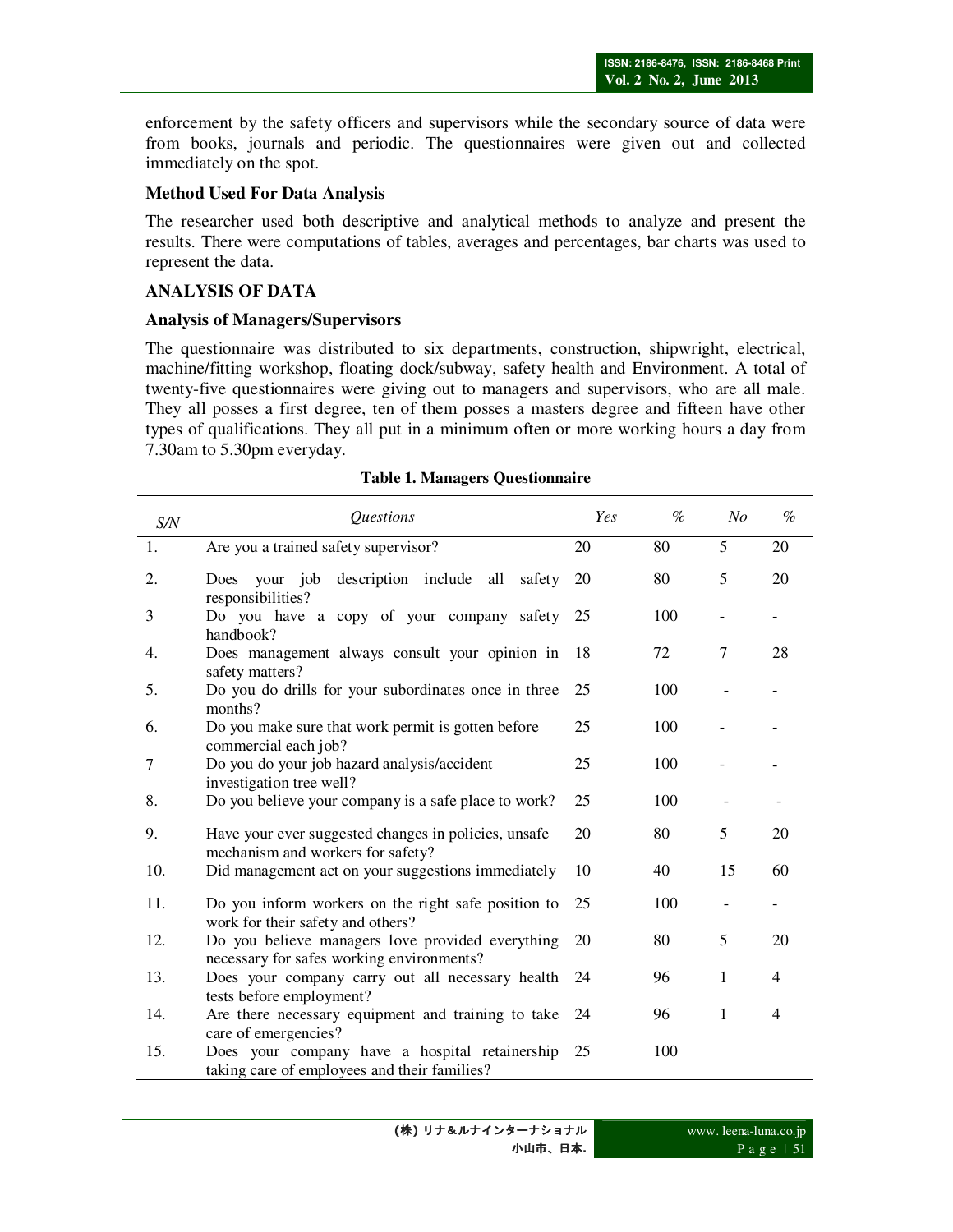enforcement by the safety officers and supervisors while the secondary source of data were from books, journals and periodic. The questionnaires were given out and collected immediately on the spot.

## **Method Used For Data Analysis**

The researcher used both descriptive and analytical methods to analyze and present the results. There were computations of tables, averages and percentages, bar charts was used to represent the data.

## **ANALYSIS OF DATA**

## **Analysis of Managers/Supervisors**

The questionnaire was distributed to six departments, construction, shipwright, electrical, machine/fitting workshop, floating dock/subway, safety health and Environment. A total of twenty-five questionnaires were giving out to managers and supervisors, who are all male. They all posses a first degree, ten of them posses a masters degree and fifteen have other types of qualifications. They all put in a minimum often or more working hours a day from 7.30am to 5.30pm everyday.

| S/N | <i><u><b>Questions</b></u></i>                                                                 | Yes | $\%$ | N <sub>O</sub> | $\%$                     |
|-----|------------------------------------------------------------------------------------------------|-----|------|----------------|--------------------------|
| 1.  | Are you a trained safety supervisor?                                                           | 20  | 80   | 5              | 20                       |
| 2.  | Does your job description include all<br>safety<br>responsibilities?                           | 20  | 80   | 5              | 20                       |
| 3   | Do you have a copy of your company safety<br>handbook?                                         | 25  | 100  |                | $\overline{\phantom{0}}$ |
| 4.  | Does management always consult your opinion in<br>safety matters?                              | 18  | 72   | 7              | 28                       |
| 5.  | Do you do drills for your subordinates once in three<br>months?                                | 25  | 100  |                |                          |
| 6.  | Do you make sure that work permit is gotten before<br>commercial each job?                     | 25  | 100  |                |                          |
| 7   | Do you do your job hazard analysis/accident<br>investigation tree well?                        | 25  | 100  |                |                          |
| 8.  | Do you believe your company is a safe place to work?                                           | 25  | 100  |                |                          |
| 9.  | Have your ever suggested changes in policies, unsafe<br>mechanism and workers for safety?      | 20  | 80   | 5              | 20                       |
| 10. | Did management act on your suggestions immediately                                             | 10  | 40   | 15             | 60                       |
| 11. | Do you inform workers on the right safe position to<br>work for their safety and others?       | 25  | 100  |                |                          |
| 12. | Do you believe managers love provided everything<br>necessary for safes working environments?  | 20  | 80   | 5              | 20                       |
| 13. | Does your company carry out all necessary health<br>tests before employment?                   | 24  | 96   | 1              | $\overline{4}$           |
| 14. | Are there necessary equipment and training to take<br>care of emergencies?                     | 24  | 96   | $\mathbf{1}$   | $\overline{4}$           |
| 15. | Does your company have a hospital retainership<br>taking care of employees and their families? | 25  | 100  |                |                          |

#### **Table 1. Managers Questionnaire**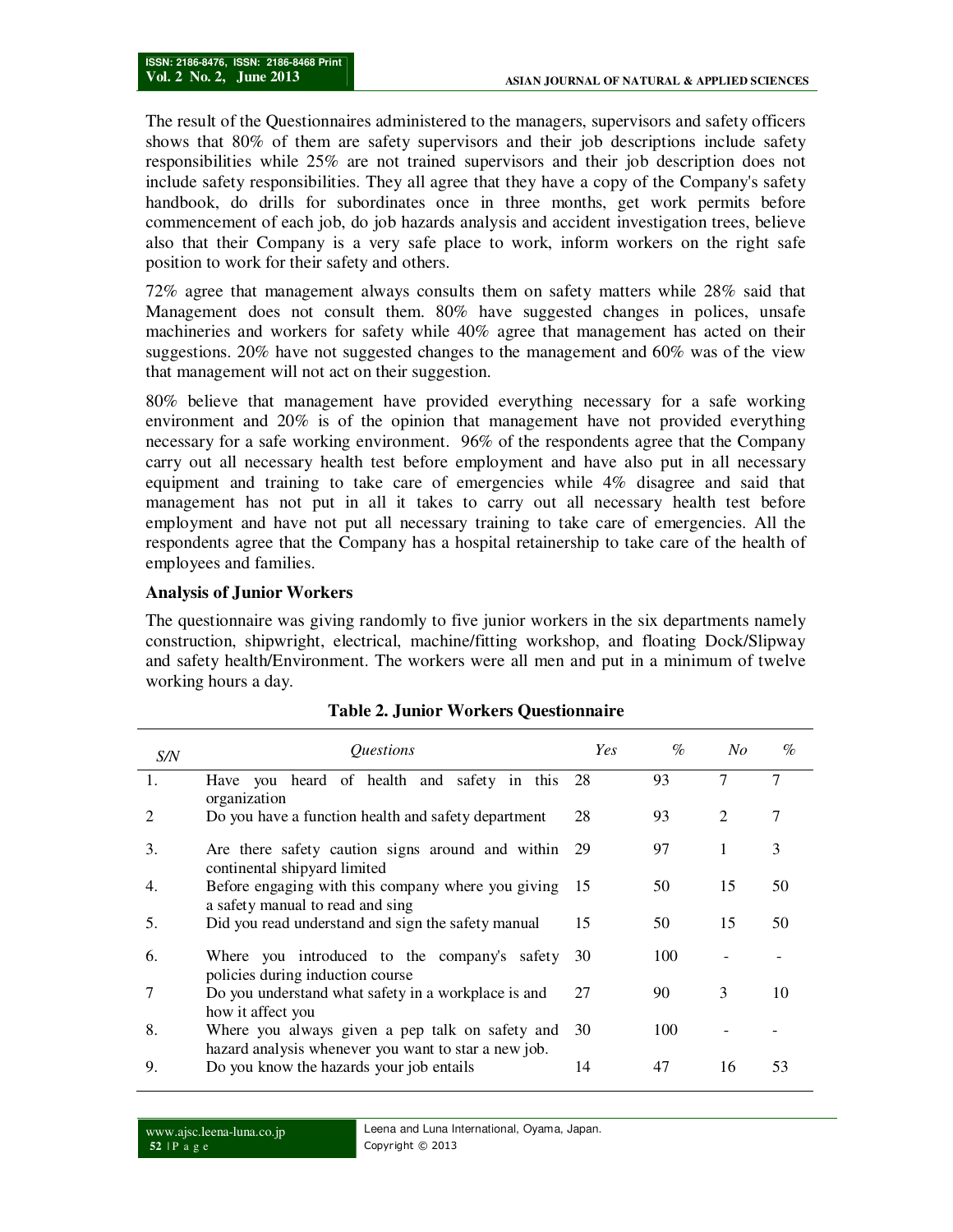The result of the Questionnaires administered to the managers, supervisors and safety officers shows that 80% of them are safety supervisors and their job descriptions include safety responsibilities while 25% are not trained supervisors and their job description does not include safety responsibilities. They all agree that they have a copy of the Company's safety handbook, do drills for subordinates once in three months, get work permits before commencement of each job, do job hazards analysis and accident investigation trees, believe also that their Company is a very safe place to work, inform workers on the right safe position to work for their safety and others.

72% agree that management always consults them on safety matters while 28% said that Management does not consult them. 80% have suggested changes in polices, unsafe machineries and workers for safety while 40% agree that management has acted on their suggestions. 20% have not suggested changes to the management and 60% was of the view that management will not act on their suggestion.

80% believe that management have provided everything necessary for a safe working environment and 20% is of the opinion that management have not provided everything necessary for a safe working environment. 96% of the respondents agree that the Company carry out all necessary health test before employment and have also put in all necessary equipment and training to take care of emergencies while 4% disagree and said that management has not put in all it takes to carry out all necessary health test before employment and have not put all necessary training to take care of emergencies. All the respondents agree that the Company has a hospital retainership to take care of the health of employees and families.

## **Analysis of Junior Workers**

The questionnaire was giving randomly to five junior workers in the six departments namely construction, shipwright, electrical, machine/fitting workshop, and floating Dock/Slipway and safety health/Environment. The workers were all men and put in a minimum of twelve working hours a day.

| S/N            | <i><u><b>Ouestions</b></u></i>                                                                          | Yes | $\%$ | No | $\%$ |
|----------------|---------------------------------------------------------------------------------------------------------|-----|------|----|------|
| 1.             | Have you heard of health and safety in this 28<br>organization                                          |     | 93   |    | 7    |
| $\overline{2}$ | Do you have a function health and safety department                                                     | 28  | 93   | 2  | 7    |
| 3.             | Are there safety caution signs around and within<br>continental shipyard limited                        | 29  | 97   |    | 3    |
| 4.             | Before engaging with this company where you giving<br>a safety manual to read and sing                  | -15 | 50   | 15 | 50   |
| 5.             | Did you read understand and sign the safety manual                                                      | 15  | 50   | 15 | 50   |
| 6.             | Where you introduced to the company's safety<br>policies during induction course                        | 30  | 100  |    |      |
| 7              | Do you understand what safety in a workplace is and<br>how it affect you                                | 27  | 90   | 3  | 10   |
| 8.             | Where you always given a pep talk on safety and<br>hazard analysis whenever you want to star a new job. | 30  | 100  |    |      |
| 9.             | Do you know the hazards your job entails                                                                | 14  | 47   | 16 | 53   |

## **Table 2. Junior Workers Questionnaire**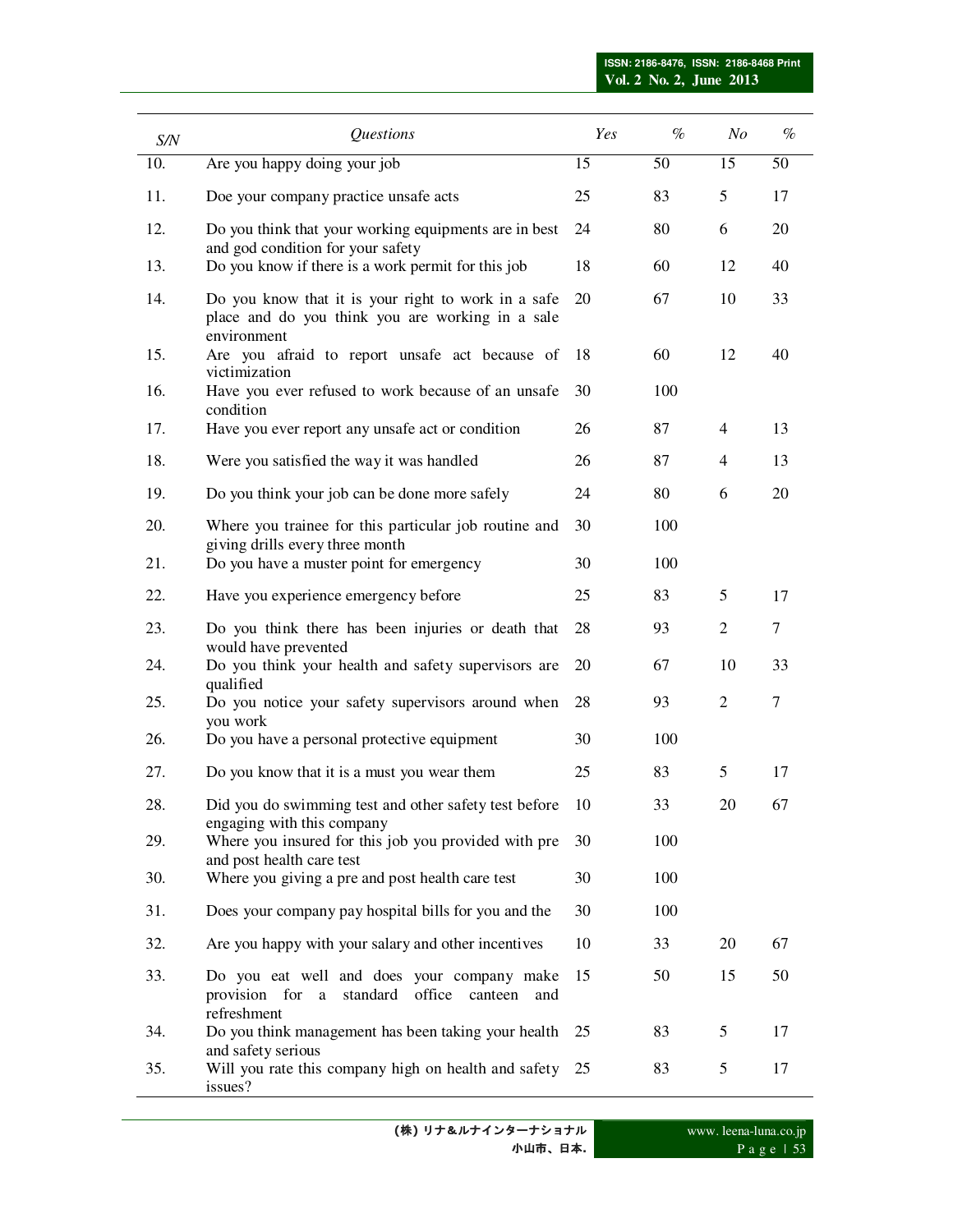| S/N | Questions                                                                                                              | Yes | $\%$ | $N$ o          | $\%$   |
|-----|------------------------------------------------------------------------------------------------------------------------|-----|------|----------------|--------|
| 10. | Are you happy doing your job                                                                                           | 15  | 50   | 15             | 50     |
| 11. | Doe your company practice unsafe acts                                                                                  | 25  | 83   | 5              | 17     |
| 12. | Do you think that your working equipments are in best<br>and god condition for your safety                             | 24  | 80   | 6              | 20     |
| 13. | Do you know if there is a work permit for this job                                                                     | 18  | 60   | 12             | 40     |
| 14. | Do you know that it is your right to work in a safe<br>place and do you think you are working in a sale<br>environment | 20  | 67   | 10             | 33     |
| 15. | Are you afraid to report unsafe act because of<br>victimization                                                        | 18  | 60   | 12             | 40     |
| 16. | Have you ever refused to work because of an unsafe<br>condition                                                        | 30  | 100  |                |        |
| 17. | Have you ever report any unsafe act or condition                                                                       | 26  | 87   | $\overline{4}$ | 13     |
| 18. | Were you satisfied the way it was handled                                                                              | 26  | 87   | 4              | 13     |
| 19. | Do you think your job can be done more safely                                                                          | 24  | 80   | 6              | 20     |
| 20. | Where you trainee for this particular job routine and<br>giving drills every three month                               | 30  | 100  |                |        |
| 21. | Do you have a muster point for emergency                                                                               | 30  | 100  |                |        |
| 22. | Have you experience emergency before                                                                                   | 25  | 83   | 5              | 17     |
| 23. | Do you think there has been injuries or death that<br>would have prevented                                             | 28  | 93   | $\overline{2}$ | $\tau$ |
| 24. | Do you think your health and safety supervisors are<br>qualified                                                       | 20  | 67   | 10             | 33     |
| 25. | Do you notice your safety supervisors around when<br>you work                                                          | 28  | 93   | 2              | $\tau$ |
| 26. | Do you have a personal protective equipment                                                                            | 30  | 100  |                |        |
| 27. | Do you know that it is a must you wear them                                                                            | 25  | 83   | 5              | 17     |
| 28. | Did you do swimming test and other safety test before<br>engaging with this company                                    | 10  | 33   | 20             | 67     |
| 29. | Where you insured for this job you provided with pre<br>and post health care test                                      | 30  | 100  |                |        |
| 30. | Where you giving a pre and post health care test                                                                       | 30  | 100  |                |        |
| 31. | Does your company pay hospital bills for you and the                                                                   | 30  | 100  |                |        |
| 32. | Are you happy with your salary and other incentives                                                                    | 10  | 33   | 20             | 67     |
| 33. | Do you eat well and does your company make<br>provision for a<br>standard<br>office canteen<br>and<br>refreshment      | 15  | 50   | 15             | 50     |
| 34. | Do you think management has been taking your health                                                                    | 25  | 83   | 5              | 17     |
| 35. | and safety serious<br>Will you rate this company high on health and safety<br>issues?                                  | 25  | 83   | 5              | 17     |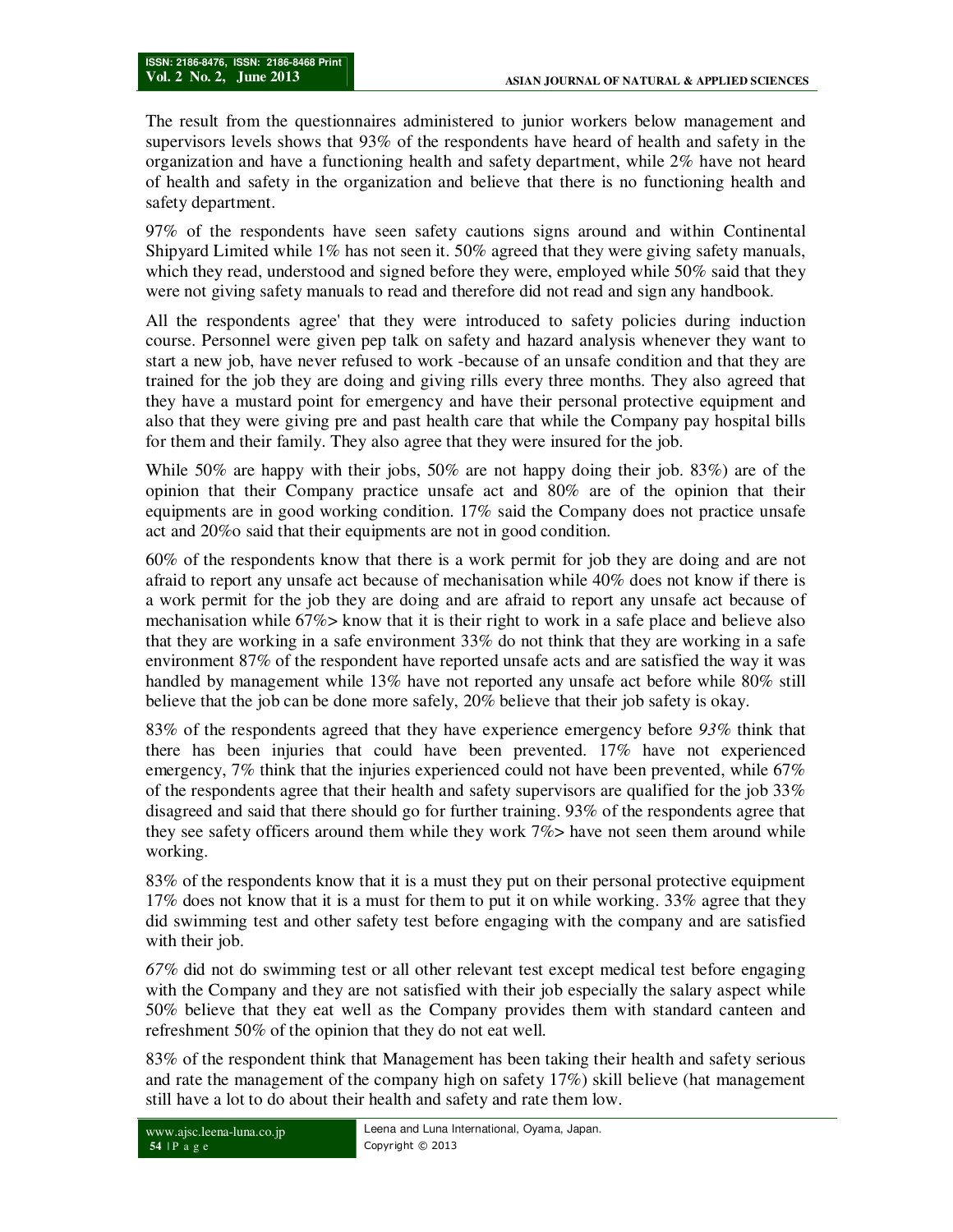The result from the questionnaires administered to junior workers below management and supervisors levels shows that 93% of the respondents have heard of health and safety in the organization and have a functioning health and safety department, while 2% have not heard of health and safety in the organization and believe that there is no functioning health and safety department.

97% of the respondents have seen safety cautions signs around and within Continental Shipyard Limited while 1% has not seen it. 50% agreed that they were giving safety manuals, which they read, understood and signed before they were, employed while 50% said that they were not giving safety manuals to read and therefore did not read and sign any handbook.

All the respondents agree' that they were introduced to safety policies during induction course. Personnel were given pep talk on safety and hazard analysis whenever they want to start a new job, have never refused to work -because of an unsafe condition and that they are trained for the job they are doing and giving rills every three months. They also agreed that they have a mustard point for emergency and have their personal protective equipment and also that they were giving pre and past health care that while the Company pay hospital bills for them and their family. They also agree that they were insured for the job.

While 50% are happy with their jobs, 50% are not happy doing their job. 83%) are of the opinion that their Company practice unsafe act and 80% are of the opinion that their equipments are in good working condition. 17% said the Company does not practice unsafe act and 20%o said that their equipments are not in good condition.

60% of the respondents know that there is a work permit for job they are doing and are not afraid to report any unsafe act because of mechanisation while 40% does not know if there is a work permit for the job they are doing and are afraid to report any unsafe act because of mechanisation while 67%> know that it is their right to work in a safe place and believe also that they are working in a safe environment 33% do not think that they are working in a safe environment 87% of the respondent have reported unsafe acts and are satisfied the way it was handled by management while 13% have not reported any unsafe act before while 80% still believe that the job can be done more safely, 20% believe that their job safety is okay.

83% of the respondents agreed that they have experience emergency before *93%* think that there has been injuries that could have been prevented. 17% have not experienced emergency, 7% think that the injuries experienced could not have been prevented, while 67% of the respondents agree that their health and safety supervisors are qualified for the job  $33\%$ disagreed and said that there should go for further training. 93% of the respondents agree that they see safety officers around them while they work 7%> have not seen them around while working.

83% of the respondents know that it is a must they put on their personal protective equipment 17% does not know that it is a must for them to put it on while working. 33% agree that they did swimming test and other safety test before engaging with the company and are satisfied with their job.

*67%* did not do swimming test or all other relevant test except medical test before engaging with the Company and they are not satisfied with their job especially the salary aspect while 50% believe that they eat well as the Company provides them with standard canteen and refreshment 50% of the opinion that they do not eat well.

83% of the respondent think that Management has been taking their health and safety serious and rate the management of the company high on safety 17%) skill believe (hat management still have a lot to do about their health and safety and rate them low.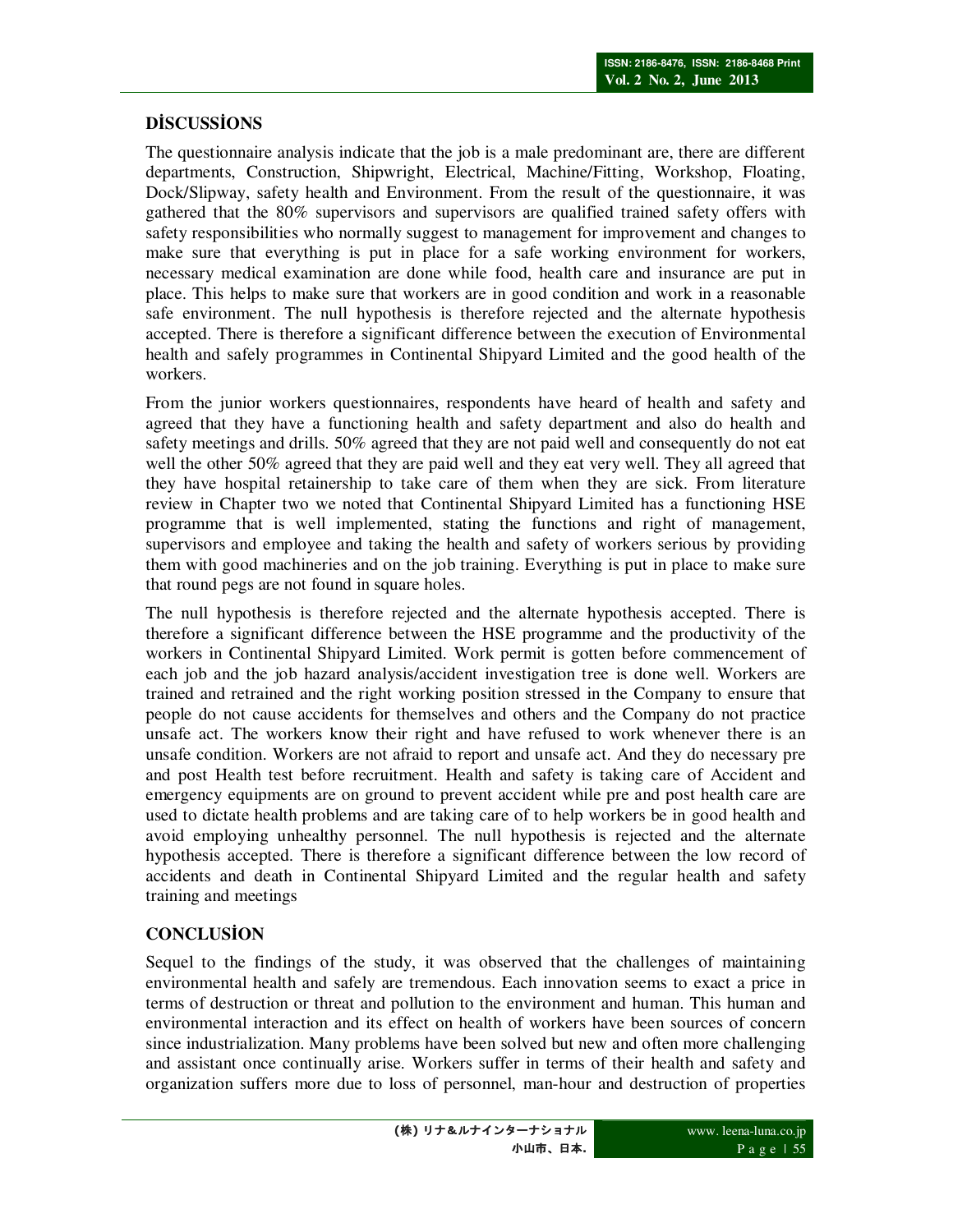# $\overline{D}$ **DDSCUSSIONS**

The questionnaire analysis indicate that the job is a male predominant are, there are different departments, Construction, Shipwright, Electrical, Machine/Fitting, Workshop, Floating, Dock/Slipway, safety health and Environment. From the result of the questionnaire, it was gathered that the 80% supervisors and supervisors are qualified trained safety offers with safety responsibilities who normally suggest to management for improvement and changes to make sure that everything is put in place for a safe working environment for workers, necessary medical examination are done while food, health care and insurance are put in place. This helps to make sure that workers are in good condition and work in a reasonable safe environment. The null hypothesis is therefore rejected and the alternate hypothesis accepted. There is therefore a significant difference between the execution of Environmental health and safely programmes in Continental Shipyard Limited and the good health of the workers.

From the junior workers questionnaires, respondents have heard of health and safety and agreed that they have a functioning health and safety department and also do health and safety meetings and drills. 50% agreed that they are not paid well and consequently do not eat well the other 50% agreed that they are paid well and they eat very well. They all agreed that they have hospital retainership to take care of them when they are sick. From literature review in Chapter two we noted that Continental Shipyard Limited has a functioning HSE programme that is well implemented, stating the functions and right of management, supervisors and employee and taking the health and safety of workers serious by providing them with good machineries and on the job training. Everything is put in place to make sure that round pegs are not found in square holes.

The null hypothesis is therefore rejected and the alternate hypothesis accepted. There is therefore a significant difference between the HSE programme and the productivity of the workers in Continental Shipyard Limited. Work permit is gotten before commencement of each job and the job hazard analysis/accident investigation tree is done well. Workers are trained and retrained and the right working position stressed in the Company to ensure that people do not cause accidents for themselves and others and the Company do not practice unsafe act. The workers know their right and have refused to work whenever there is an unsafe condition. Workers are not afraid to report and unsafe act. And they do necessary pre and post Health test before recruitment. Health and safety is taking care of Accident and emergency equipments are on ground to prevent accident while pre and post health care are used to dictate health problems and are taking care of to help workers be in good health and avoid employing unhealthy personnel. The null hypothesis is rejected and the alternate hypothesis accepted. There is therefore a significant difference between the low record of accidents and death in Continental Shipyard Limited and the regular health and safety training and meetings

# $CONCLUSION$

Sequel to the findings of the study, it was observed that the challenges of maintaining environmental health and safely are tremendous. Each innovation seems to exact a price in terms of destruction or threat and pollution to the environment and human. This human and environmental interaction and its effect on health of workers have been sources of concern since industrialization. Many problems have been solved but new and often more challenging and assistant once continually arise. Workers suffer in terms of their health and safety and organization suffers more due to loss of personnel, man-hour and destruction of properties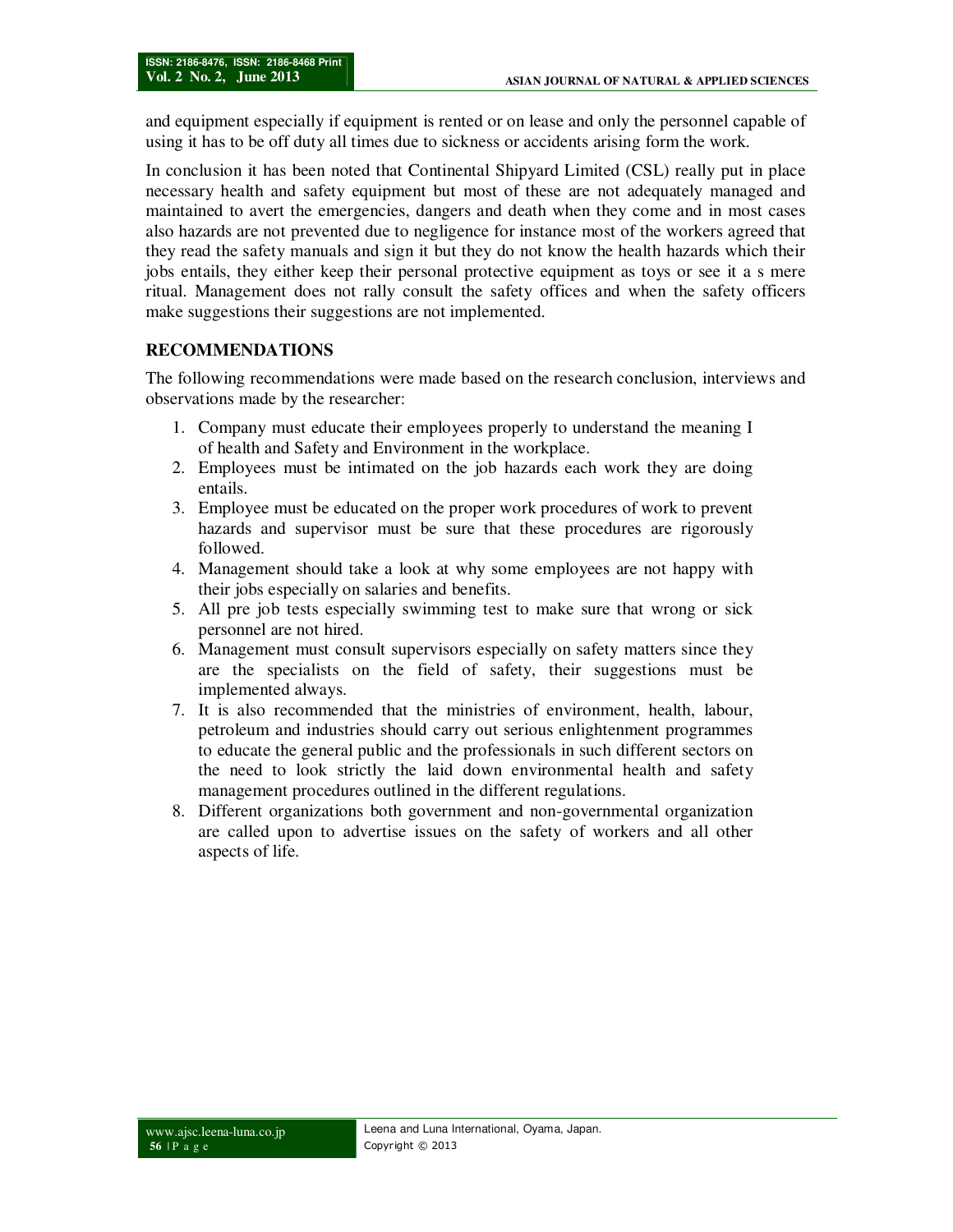and equipment especially if equipment is rented or on lease and only the personnel capable of using it has to be off duty all times due to sickness or accidents arising form the work.

In conclusion it has been noted that Continental Shipyard Limited (CSL) really put in place necessary health and safety equipment but most of these are not adequately managed and maintained to avert the emergencies, dangers and death when they come and in most cases also hazards are not prevented due to negligence for instance most of the workers agreed that they read the safety manuals and sign it but they do not know the health hazards which their jobs entails, they either keep their personal protective equipment as toys or see it a s mere ritual. Management does not rally consult the safety offices and when the safety officers make suggestions their suggestions are not implemented.

## **RECOMMENDATIONS**

The following recommendations were made based on the research conclusion, interviews and observations made by the researcher:

- 1. Company must educate their employees properly to understand the meaning I of health and Safety and Environment in the workplace.
- 2. Employees must be intimated on the job hazards each work they are doing entails.
- 3. Employee must be educated on the proper work procedures of work to prevent hazards and supervisor must be sure that these procedures are rigorously followed.
- 4. Management should take a look at why some employees are not happy with their jobs especially on salaries and benefits.
- 5. All pre job tests especially swimming test to make sure that wrong or sick personnel are not hired.
- 6. Management must consult supervisors especially on safety matters since they are the specialists on the field of safety, their suggestions must be implemented always.
- 7. It is also recommended that the ministries of environment, health, labour, petroleum and industries should carry out serious enlightenment programmes to educate the general public and the professionals in such different sectors on the need to look strictly the laid down environmental health and safety management procedures outlined in the different regulations.
- 8. Different organizations both government and non-governmental organization are called upon to advertise issues on the safety of workers and all other aspects of life.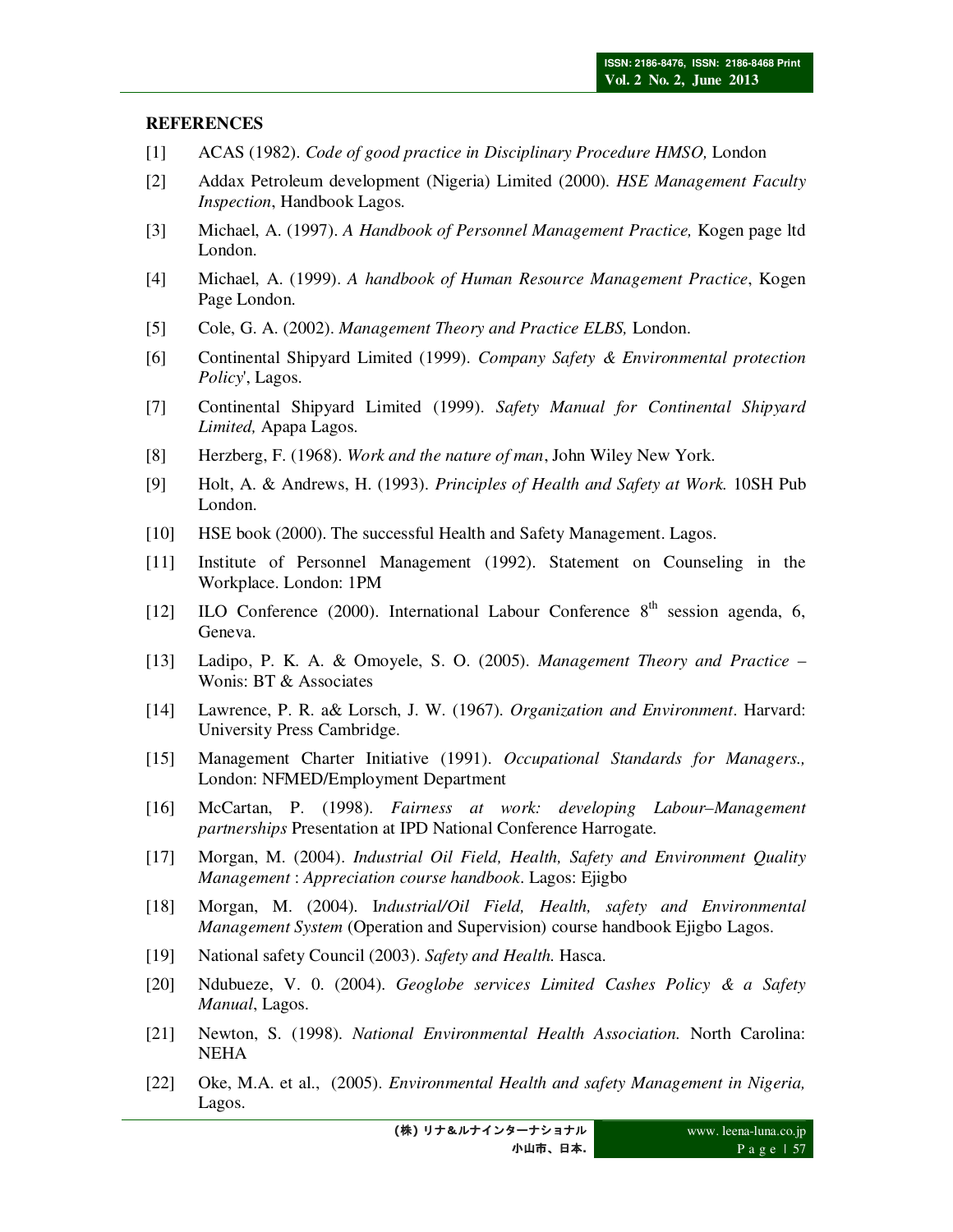#### **REFERENCES**

- [1] ACAS (1982). *Code of good practice in Disciplinary Procedure HMSO,* London
- [2] Addax Petroleum development (Nigeria) Limited (2000). *HSE Management Faculty Inspection*, Handbook Lagos.
- [3] Michael, A. (1997). *A Handbook of Personnel Management Practice,* Kogen page ltd London.
- [4] Michael, A. (1999). *A handbook of Human Resource Management Practice*, Kogen Page London.
- [5] Cole, G. A. (2002). *Management Theory and Practice ELBS,* London.
- [6] Continental Shipyard Limited (1999). *Company Safety & Environmental protection Policy*', Lagos.
- [7] Continental Shipyard Limited (1999). *Safety Manual for Continental Shipyard Limited,* Apapa Lagos.
- [8] Herzberg, F. (1968). *Work and the nature of man*, John Wiley New York.
- [9] Holt, A. & Andrews, H. (1993). *Principles of Health and Safety at Work.* 10SH Pub London.
- [10] HSE book (2000). The successful Health and Safety Management. Lagos.
- [11] Institute of Personnel Management (1992). Statement on Counseling in the Workplace. London: 1PM
- [12] ILO Conference (2000). International Labour Conference  $8<sup>th</sup>$  session agenda, 6, Geneva.
- [13] Ladipo, P. K. A. & Omoyele, S. O. (2005). *Management Theory and Practice* Wonis: BT & Associates
- [14] Lawrence, P. R. a& Lorsch, J. W. (1967). *Organization and Environment*. Harvard: University Press Cambridge.
- [15] Management Charter Initiative (1991). *Occupational Standards for Managers.,* London: NFMED/Employment Department
- [16] McCartan, P. (1998). *Fairness at work: developing Labour–Management partnerships* Presentation at IPD National Conference Harrogate.
- [17] Morgan, M. (2004). *Industrial Oil Field, Health, Safety and Environment Quality Management* : *Appreciation course handbook*. Lagos: Ejigbo
- [18] Morgan, M. (2004). I*ndustrial/Oil Field, Health, safety and Environmental Management System* (Operation and Supervision) course handbook Ejigbo Lagos.
- [19] National safety Council (2003). *Safety and Health.* Hasca.
- [20] Ndubueze, V. 0. (2004). *Geoglobe services Limited Cashes Policy & a Safety Manual*, Lagos.
- [21] Newton, S. (1998). *National Environmental Health Association.* North Carolina: NEHA
- [22] Oke, M.A. et al., (2005). *Environmental Health and safety Management in Nigeria,* Lagos.